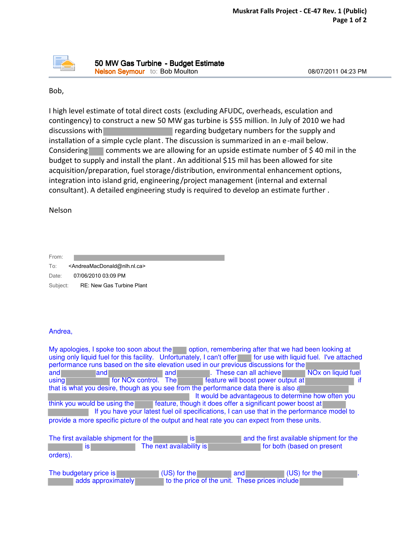

50 MW Gas Turbine - Budget Estimate Nelson Seymour to: Bob Moulton 08/07/2011 04:23 PM

## Bob,

I high level estimate of total direct costs (excluding AFUDC, overheads, esculation and contingency) to construct a new 50 MW gas turbine is \$55 million. In July of 2010 we had discussions with **regarding budgetary numbers for the supply and** installation of a simple cycle plant. The discussion is summarized in an e-mail below. Considering comments we are allowing for an upside estimate number of  $\frac{1}{2}$  40 mil in the budget to supply and install the plant . An additional \$15 mil has been allowed for site acquisition/preparation, fuel storage/distribution, environmental enhancement options, integration into island grid, engineering /project management (internal and external consultant). A detailed engineering study is required to develop an estimate further .

Nelson

From:

To: <AndreaMacDonald@nlh.nl.ca> Date: 07/06/2010 03:09 PM Subject: RE: New Gas Turbine Plant

## Andrea,

|                                                                                            |      | My apologies, I spoke too soon about the |      | option, remembering after that we had been looking at<br>using only liquid fuel for this facility. Unfortunately, I can't offer for use with liquid fuel. I've attached<br>performance runs based on the site elevation used in our previous discussions for the |  |  |  |
|--------------------------------------------------------------------------------------------|------|------------------------------------------|------|------------------------------------------------------------------------------------------------------------------------------------------------------------------------------------------------------------------------------------------------------------------|--|--|--|
| andl                                                                                       | land |                                          | andl | . These can all achieve NO <sub>x</sub> on liquid fuel                                                                                                                                                                                                           |  |  |  |
| using                                                                                      |      | for NO <sub>x</sub> control. The         |      | feature will boost power output at                                                                                                                                                                                                                               |  |  |  |
| that is what you desire, though as you see from the performance data there is also a       |      |                                          |      |                                                                                                                                                                                                                                                                  |  |  |  |
|                                                                                            |      |                                          |      | It would be advantageous to determine how often you                                                                                                                                                                                                              |  |  |  |
| think you would be using the<br>feature, though it does offer a significant power boost at |      |                                          |      |                                                                                                                                                                                                                                                                  |  |  |  |
|                                                                                            |      |                                          |      | If you have your latest fuel oil specifications, I can use that in the performance model to                                                                                                                                                                      |  |  |  |
|                                                                                            |      |                                          |      | provide a more specific picture of the output and heat rate you can expect from these units.                                                                                                                                                                     |  |  |  |

| The first available shipment for the | <b>IS</b>                | and the first available shipment for the       |
|--------------------------------------|--------------------------|------------------------------------------------|
| <b>is</b>                            | The next availability is | for both (based on present                     |
| orders).                             |                          |                                                |
|                                      |                          |                                                |
| The budgetary price is               | $(US)$ for the           | $(US)$ for the<br>and                          |
| adds approximately                   |                          | to the price of the unit. These prices include |